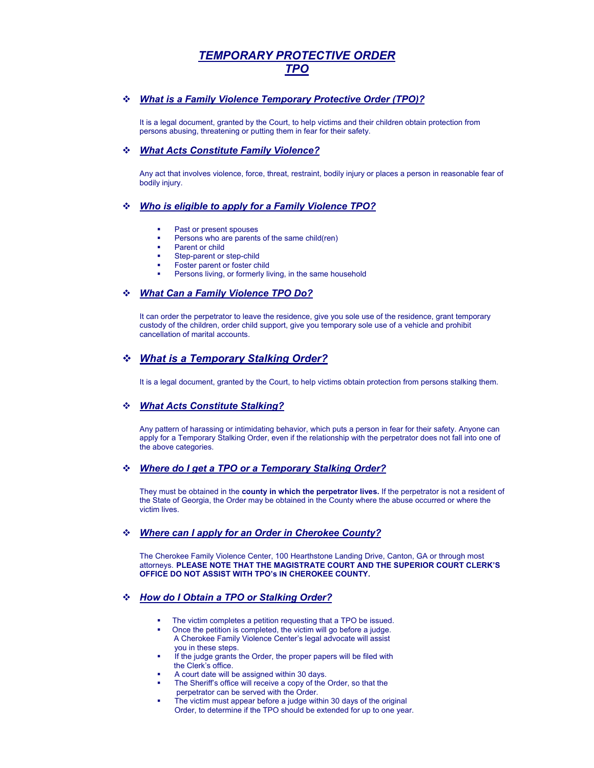# *TEMPORARY PROTECTIVE ORDER TPO*

### *What is a Family Violence Temporary Protective Order (TPO)?*

It is a legal document, granted by the Court, to help victims and their children obtain protection from persons abusing, threatening or putting them in fear for their safety.

#### *What Acts Constitute Family Violence?*

Any act that involves violence, force, threat, restraint, bodily injury or places a person in reasonable fear of bodily injury.

#### *Who is eligible to apply for a Family Violence TPO?*

- Past or present spouses
- Persons who are parents of the same child(ren)
- Parent or child
- Step-parent or step-child
- Foster parent or foster child
- Persons living, or formerly living, in the same household

## *What Can a Family Violence TPO Do?*

It can order the perpetrator to leave the residence, give you sole use of the residence, grant temporary custody of the children, order child support, give you temporary sole use of a vehicle and prohibit cancellation of marital accounts.

## *What is a Temporary Stalking Order?*

It is a legal document, granted by the Court, to help victims obtain protection from persons stalking them.

#### *What Acts Constitute Stalking?*

Any pattern of harassing or intimidating behavior, which puts a person in fear for their safety. Anyone can apply for a Temporary Stalking Order, even if the relationship with the perpetrator does not fall into one of the above categories.

#### *Where do I get a TPO or a Temporary Stalking Order?*

They must be obtained in the **county in which the perpetrator lives.** If the perpetrator is not a resident of the State of Georgia, the Order may be obtained in the County where the abuse occurred or where the victim lives.

#### *Where can I apply for an Order in Cherokee County?*

The Cherokee Family Violence Center, 100 Hearthstone Landing Drive, Canton, GA or through most attorneys. **PLEASE NOTE THAT THE MAGISTRATE COURT AND THE SUPERIOR COURT CLERK'S OFFICE DO NOT ASSIST WITH TPO's IN CHEROKEE COUNTY.** 

# *How do I Obtain a TPO or Stalking Order?*

- The victim completes a petition requesting that a TPO be issued.
- Once the petition is completed, the victim will go before a judge. A Cherokee Family Violence Center's legal advocate will assistyou in these steps.
- If the judge grants the Order, the proper papers will be filed with the Clerk's office.
- A court date will be assigned within 30 days.
- The Sheriff's office will receive a copy of the Order, so that the perpetrator can be served with the Order.
- The victim must appear before a judge within 30 days of the original Order, to determine if the TPO should be extended for up to one year.